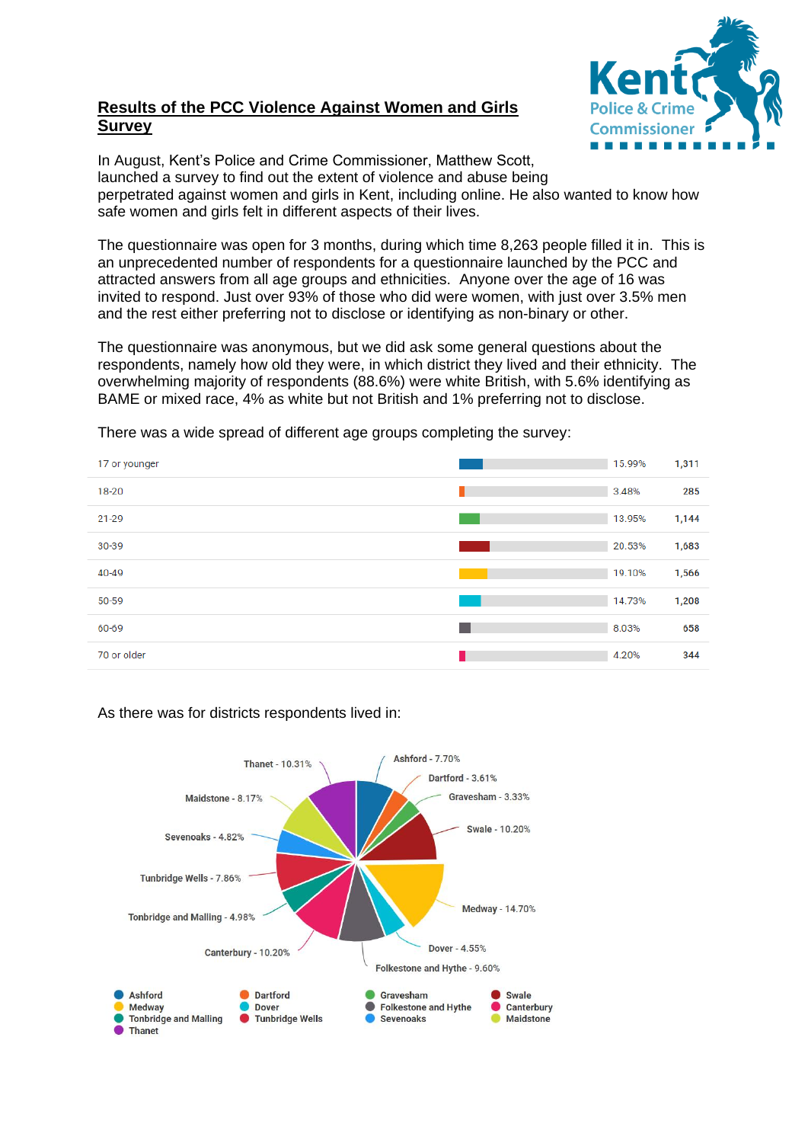# **Results of the PCC Violence Against Women and Girls Survey**



In August, Kent's Police and Crime Commissioner, Matthew Scott, launched a survey to find out the extent of violence and abuse being perpetrated against women and girls in Kent, including online. He also wanted to know how safe women and girls felt in different aspects of their lives.

The questionnaire was open for 3 months, during which time 8,263 people filled it in. This is an unprecedented number of respondents for a questionnaire launched by the PCC and attracted answers from all age groups and ethnicities. Anyone over the age of 16 was invited to respond. Just over 93% of those who did were women, with just over 3.5% men and the rest either preferring not to disclose or identifying as non-binary or other.

The questionnaire was anonymous, but we did ask some general questions about the respondents, namely how old they were, in which district they lived and their ethnicity. The overwhelming majority of respondents (88.6%) were white British, with 5.6% identifying as BAME or mixed race, 4% as white but not British and 1% preferring not to disclose.

There was a wide spread of different age groups completing the survey:

| 17 or younger | 15.99% | 1,311 |
|---------------|--------|-------|
| 18-20         | 3.48%  | 285   |
| $21 - 29$     | 13.95% | 1,144 |
| 30-39         | 20.53% | 1,683 |
| 40-49         | 19.10% | 1,566 |
| 50-59         | 14.73% | 1,208 |
| 60-69         | 8.03%  | 658   |
| 70 or older   | 4.20%  | 344   |

#### As there was for districts respondents lived in:

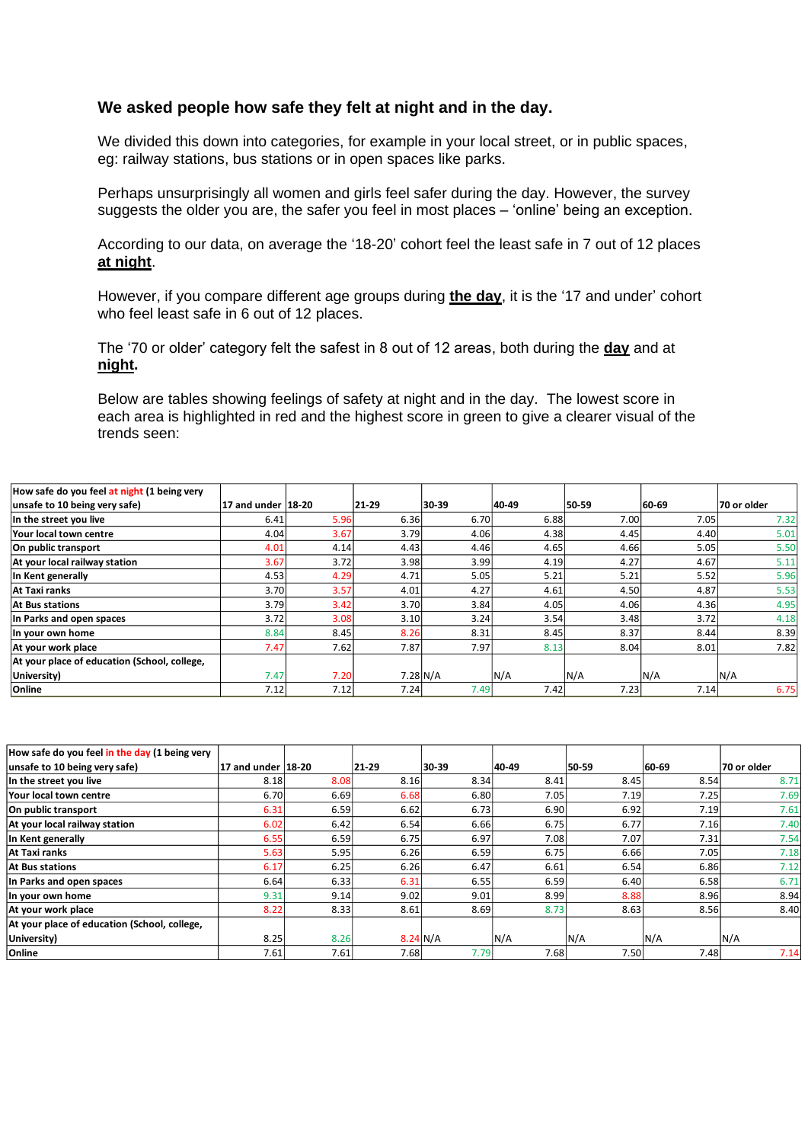## **We asked people how safe they felt at night and in the day.**

We divided this down into categories, for example in your local street, or in public spaces, eg: railway stations, bus stations or in open spaces like parks.

Perhaps unsurprisingly all women and girls feel safer during the day. However, the survey suggests the older you are, the safer you feel in most places – 'online' being an exception.

According to our data, on average the '18-20' cohort feel the least safe in 7 out of 12 places **at night**.

However, if you compare different age groups during **the day**, it is the '17 and under' cohort who feel least safe in 6 out of 12 places.

The '70 or older' category felt the safest in 8 out of 12 areas, both during the **day** and at **night.**

Below are tables showing feelings of safety at night and in the day. The lowest score in each area is highlighted in red and the highest score in green to give a clearer visual of the trends seen:

| How safe do you feel at night (1 being very  |                    |      |       |                  |       |       |       |             |
|----------------------------------------------|--------------------|------|-------|------------------|-------|-------|-------|-------------|
| unsafe to 10 being very safe)                | 17 and under 18-20 |      | 21-29 | 30-39            | 40-49 | 50-59 | 60-69 | 70 or older |
| In the street you live                       | 6.41               | 5.96 | 6.36  | 6.70             | 6.88  | 7.00  | 7.05  | 7.32        |
| Your local town centre                       | 4.04               | 3.67 | 3.79  | 4.06             | 4.38  | 4.45  | 4.40  | 5.01        |
| On public transport                          | 4.01               | 4.14 | 4.43  | 4.46             | 4.65  | 4.66  | 5.05  | 5.50        |
| At your local railway station                | 3.67               | 3.72 | 3.98  | 3.99             | 4.19  | 4.27  | 4.67  | 5.11        |
| In Kent generally                            | 4.53               | 4.29 | 4.71  | 5.05             | 5.21  | 5.21  | 5.52  | 5.96        |
| At Taxi ranks                                | 3.70               | 3.57 | 4.01  | 4.27             | 4.61  | 4.50  | 4.87  | 5.53        |
| <b>At Bus stations</b>                       | 3.79               | 3.42 | 3.70  | 3.84             | 4.05  | 4.06  | 4.36  | 4.95        |
| In Parks and open spaces                     | 3.72               | 3.08 | 3.10  | 3.24             | 3.54  | 3.48  | 3.72  | 4.18        |
| In your own home                             | 8.84               | 8.45 | 8.26  | 8.31             | 8.45  | 8.37  | 8.44  | 8.39        |
| At your work place                           | 7.47               | 7.62 | 7.87  | 7.97             | 8.13  | 8.04  | 8.01  | 7.82        |
| At your place of education (School, college, |                    |      |       |                  |       |       |       |             |
| University)                                  | 7.47               | 7.20 |       | $7.28\text{N/A}$ | N/A   | N/A   | N/A   | N/A         |
| Online                                       | 7.12               | 7.12 | 7.24  | 7.49             | 7.42  | 7.23  | 7.14  | 6.75        |

| How safe do you feel in the day (1 being very |                    |      |                   |       |       |       |       |             |
|-----------------------------------------------|--------------------|------|-------------------|-------|-------|-------|-------|-------------|
| unsafe to 10 being very safe)                 | 17 and under 18-20 |      | 21-29             | 30-39 | 40-49 | 50 59 | 60-69 | 70 or older |
| In the street you live                        | 8.18               | 8.08 | 8.16              | 8.34  | 8.41  | 8.45  | 8.54  | 8.71        |
| Your local town centre                        | 6.70               | 6.69 | 6.68              | 6.80  | 7.05  | 7.19  | 7.25  | 7.69        |
| On public transport                           | 6.31               | 6.59 | 6.62              | 6.73  | 6.90  | 6.92  | 7.19  | 7.61        |
| At your local railway station                 | 6.02               | 6.42 | 6.54              | 6.66  | 6.75  | 6.77  | 7.16  | 7.40        |
| In Kent generally                             | 6.55               | 6.59 | 6.75              | 6.97  | 7.08  | 7.07  | 7.31  | 7.54        |
| At Taxi ranks                                 | 5.63               | 5.95 | 6.26              | 6.59  | 6.75  | 6.66  | 7.05  | 7.18        |
| <b>At Bus stations</b>                        | 6.17               | 6.25 | 6.26              | 6.47  | 6.61  | 6.54  | 6.86  | 7.12        |
| In Parks and open spaces                      | 6.64               | 6.33 | 6.31              | 6.55  | 6.59  | 6.40  | 6.58  | 6.71        |
| In your own home                              | 9.31               | 9.14 | 9.02              | 9.01  | 8.99  | 8.88  | 8.96  | 8.94        |
| At your work place                            | 8.22               | 8.33 | 8.61              | 8.69  | 8.73  | 8.63  | 8.56  | 8.40        |
| At your place of education (School, college,  |                    |      |                   |       |       |       |       |             |
| University)                                   | 8.25               | 8.26 | $8.24\text{ N/A}$ |       | N/A   | N/A   | N/A   | N/A         |
| Online                                        | 7.61               | 7.61 | 7.68              | 7.79  | 7.68  | 7.50  | 7.48  | 7.14        |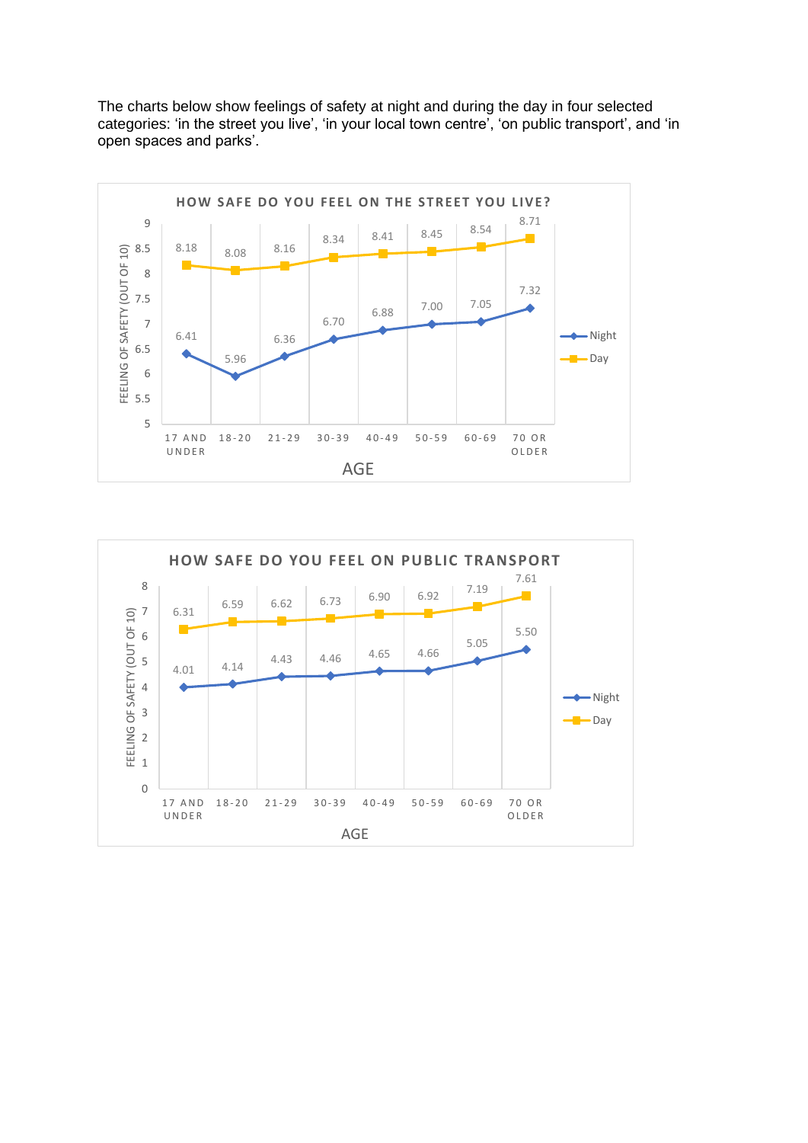The charts below show feelings of safety at night and during the day in four selected categories: 'in the street you live', 'in your local town centre', 'on public transport', and 'in open spaces and parks'.



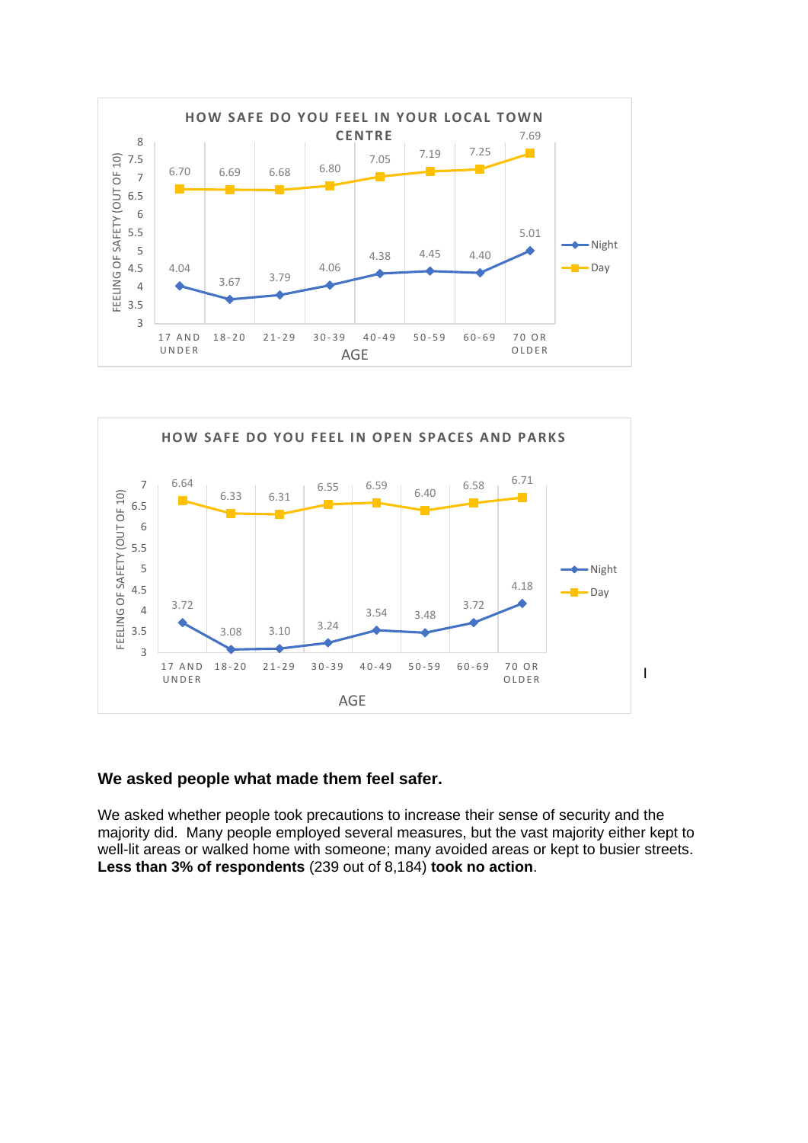



## **We asked people what made them feel safer.**

We asked whether people took precautions to increase their sense of security and the majority did. Many people employed several measures, but the vast majority either kept to well-lit areas or walked home with someone; many avoided areas or kept to busier streets. **Less than 3% of respondents** (239 out of 8,184) **took no action**.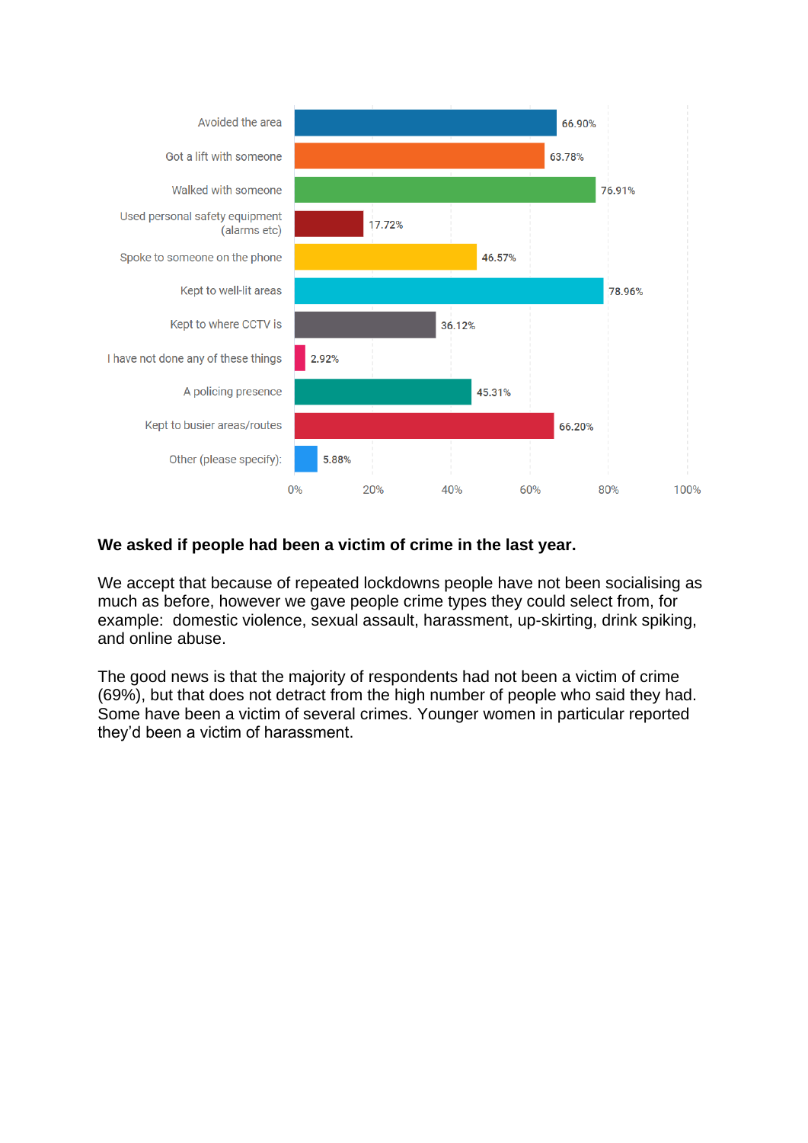

# **We asked if people had been a victim of crime in the last year.**

We accept that because of repeated lockdowns people have not been socialising as much as before, however we gave people crime types they could select from, for example: domestic violence, sexual assault, harassment, up-skirting, drink spiking, and online abuse.

The good news is that the majority of respondents had not been a victim of crime (69%), but that does not detract from the high number of people who said they had. Some have been a victim of several crimes. Younger women in particular reported they'd been a victim of harassment.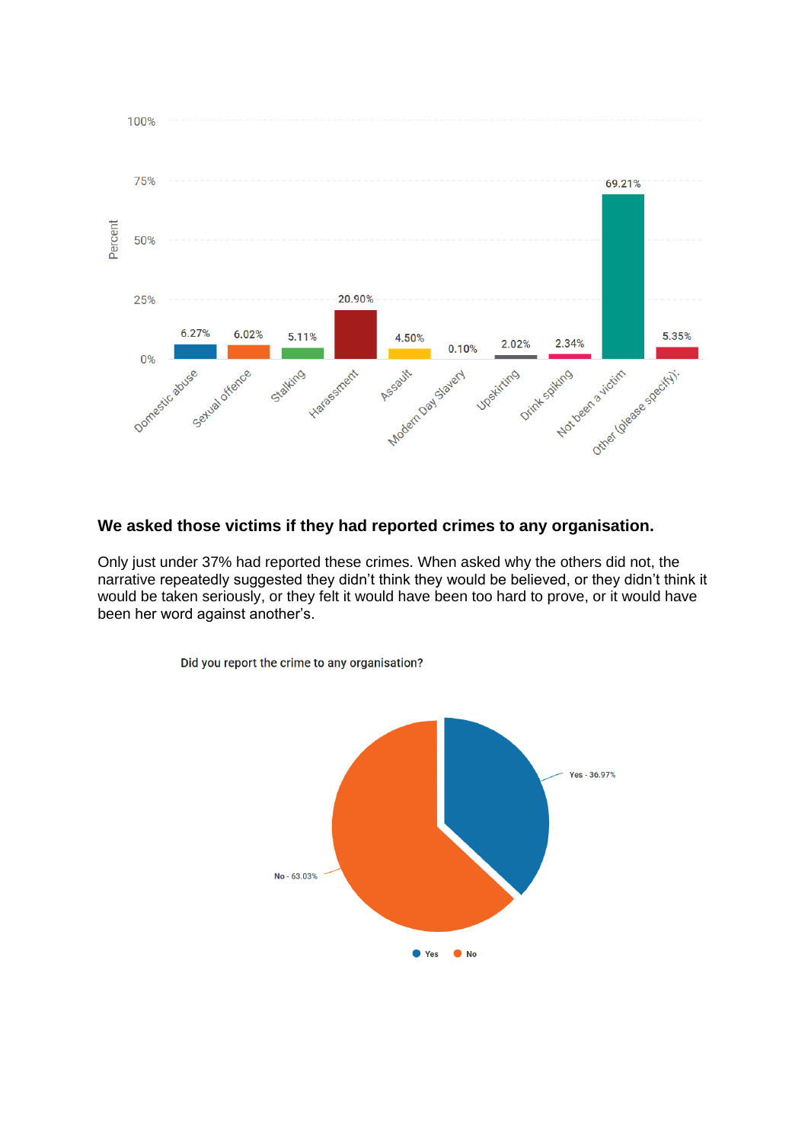

# **We asked those victims if they had reported crimes to any organisation.**

Only just under 37% had reported these crimes. When asked why the others did not, the narrative repeatedly suggested they didn't think they would be believed, or they didn't think it would be taken seriously, or they felt it would have been too hard to prove, or it would have been her word against another's.



Did you report the crime to any organisation?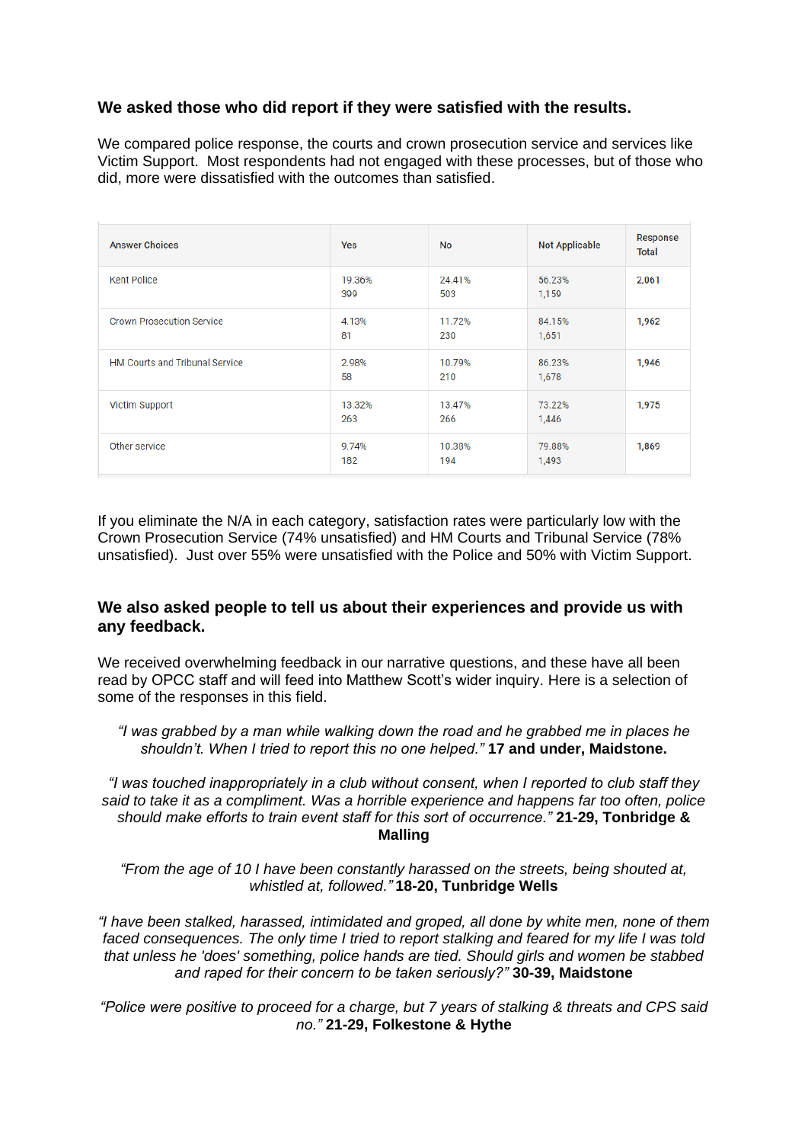## **We asked those who did report if they were satisfied with the results.**

We compared police response, the courts and crown prosecution service and services like Victim Support. Most respondents had not engaged with these processes, but of those who did, more were dissatisfied with the outcomes than satisfied.

| <b>Answer Choices</b>                 | Yes           | <b>No</b>     | <b>Not Applicable</b> | Response<br><b>Total</b> |
|---------------------------------------|---------------|---------------|-----------------------|--------------------------|
| <b>Kent Police</b>                    | 19.36%<br>399 | 24.41%<br>503 | 56.23%<br>1,159       | 2,061                    |
| <b>Crown Prosecution Service</b>      | 4.13%<br>81   | 11.72%<br>230 | 84.15%<br>1,651       | 1,962                    |
| <b>HM Courts and Tribunal Service</b> | 2.98%<br>58   | 10.79%<br>210 | 86.23%<br>1,678       | 1,946                    |
| Victim Support                        | 13.32%<br>263 | 13.47%<br>266 | 73.22%<br>1,446       | 1,975                    |
| Other service                         | 9.74%<br>182  | 10.38%<br>194 | 79.88%<br>1,493       | 1,869                    |

If you eliminate the N/A in each category, satisfaction rates were particularly low with the Crown Prosecution Service (74% unsatisfied) and HM Courts and Tribunal Service (78% unsatisfied). Just over 55% were unsatisfied with the Police and 50% with Victim Support.

## **We also asked people to tell us about their experiences and provide us with any feedback.**

We received overwhelming feedback in our narrative questions, and these have all been read by OPCC staff and will feed into Matthew Scott's wider inquiry. Here is a selection of some of the responses in this field.

*"I was grabbed by a man while walking down the road and he grabbed me in places he shouldn't. When I tried to report this no one helped."* **17 and under, Maidstone.**

*"I was touched inappropriately in a club without consent, when I reported to club staff they said to take it as a compliment. Was a horrible experience and happens far too often, police should make efforts to train event staff for this sort of occurrence."* **21-29, Tonbridge & Malling**

*"From the age of 10 I have been constantly harassed on the streets, being shouted at, whistled at, followed."* **18-20, Tunbridge Wells**

*"I have been stalked, harassed, intimidated and groped, all done by white men, none of them faced consequences. The only time I tried to report stalking and feared for my life I was told that unless he 'does' something, police hands are tied. Should girls and women be stabbed and raped for their concern to be taken seriously?"* **30-39, Maidstone**

*"Police were positive to proceed for a charge, but 7 years of stalking & threats and CPS said no."* **21-29, Folkestone & Hythe**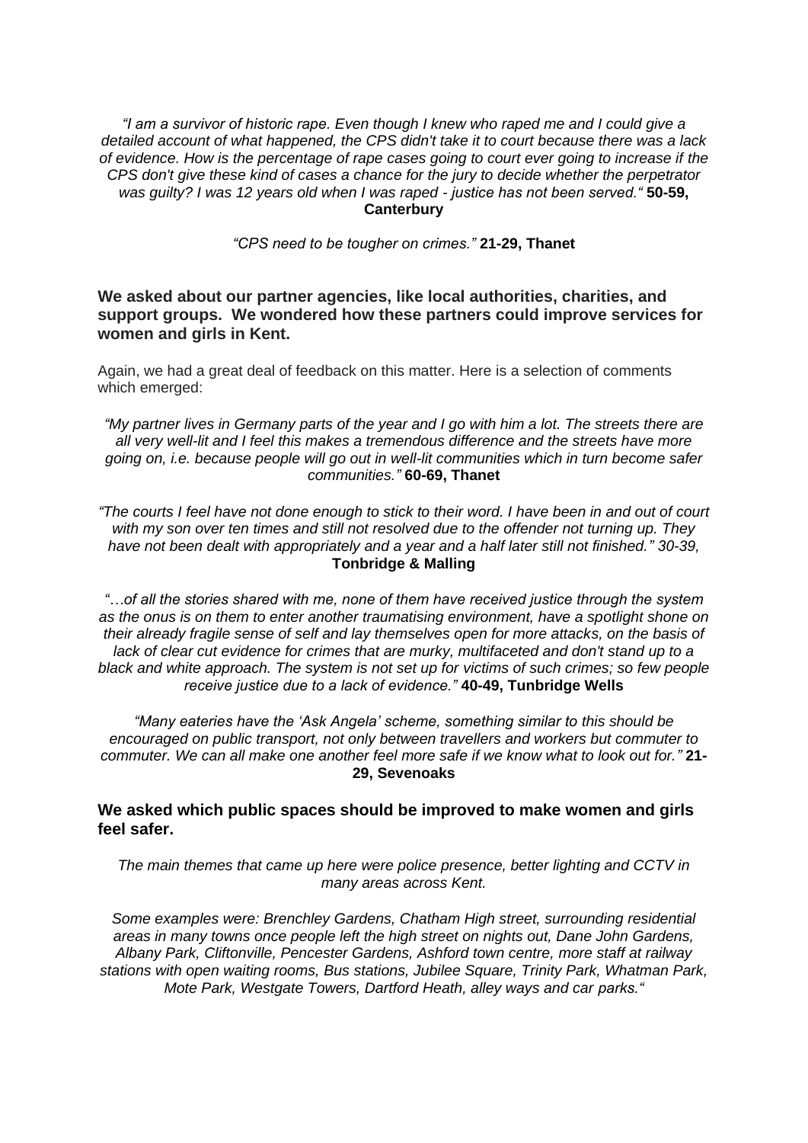*"I am a survivor of historic rape. Even though I knew who raped me and I could give a detailed account of what happened, the CPS didn't take it to court because there was a lack of evidence. How is the percentage of rape cases going to court ever going to increase if the CPS don't give these kind of cases a chance for the jury to decide whether the perpetrator was guilty? I was 12 years old when I was raped - justice has not been served."* **50-59, Canterbury**

*"CPS need to be tougher on crimes."* **21-29, Thanet**

**We asked about our partner agencies, like local authorities, charities, and support groups. We wondered how these partners could improve services for women and girls in Kent.**

Again, we had a great deal of feedback on this matter. Here is a selection of comments which emerged:

*"My partner lives in Germany parts of the year and I go with him a lot. The streets there are all very well-lit and I feel this makes a tremendous difference and the streets have more going on, i.e. because people will go out in well-lit communities which in turn become safer communities."* **60-69, Thanet**

*"The courts I feel have not done enough to stick to their word. I have been in and out of court with my son over ten times and still not resolved due to the offender not turning up. They have not been dealt with appropriately and a year and a half later still not finished." 30-39,*  **Tonbridge & Malling**

*"…of all the stories shared with me, none of them have received justice through the system as the onus is on them to enter another traumatising environment, have a spotlight shone on their already fragile sense of self and lay themselves open for more attacks, on the basis of lack of clear cut evidence for crimes that are murky, multifaceted and don't stand up to a black and white approach. The system is not set up for victims of such crimes; so few people receive justice due to a lack of evidence."* **40-49, Tunbridge Wells**

*"Many eateries have the 'Ask Angela' scheme, something similar to this should be encouraged on public transport, not only between travellers and workers but commuter to commuter. We can all make one another feel more safe if we know what to look out for."* **21- 29, Sevenoaks** 

**We asked which public spaces should be improved to make women and girls feel safer.**

*The main themes that came up here were police presence, better lighting and CCTV in many areas across Kent.* 

*Some examples were: Brenchley Gardens, Chatham High street, surrounding residential areas in many towns once people left the high street on nights out, Dane John Gardens, Albany Park, Cliftonville, Pencester Gardens, Ashford town centre, more staff at railway stations with open waiting rooms, Bus stations, Jubilee Square, Trinity Park, Whatman Park, Mote Park, Westgate Towers, Dartford Heath, alley ways and car parks."*